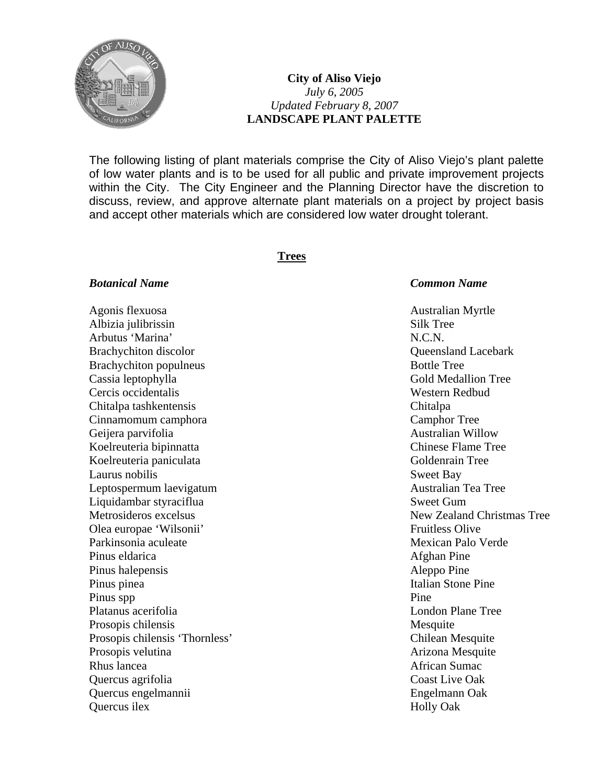

# **City of Aliso Viejo**  *July 6, 2005 Updated February 8, 2007*  **LANDSCAPE PLANT PALETTE**

The following listing of plant materials comprise the City of Aliso Viejo's plant palette of low water plants and is to be used for all public and private improvement projects within the City. The City Engineer and the Planning Director have the discretion to discuss, review, and approve alternate plant materials on a project by project basis and accept other materials which are considered low water drought tolerant.

## **Trees**

## *Botanical Name Common Name*

Agonis flexuosa anno 1992 - Australian Myrtle Australian Myrtle Albizia julibrissin Silk Tree Arbutus 'Marina' N.C.N. Brachychiton discolor and a control of the Control of Control of Control of Control of Control of Control of Control of Control of Control of Control of Control of Control of Control of Control of Control of Control of Con Brachychiton populneus Bottle Tree Cassia leptophylla Gold Medallion Tree Cercis occidentalis Western Redbud Chitalpa tashkentensis Chitalpa Cinnamomum camphora Camphor Tree Geijera parvifolia australian Willow Koelreuteria bipinnatta Chinese Flame Tree Koelreuteria paniculata Goldenrain Tree Laurus nobilis Sweet Bay Leptospermum laevigatum Australian Tea Tree Liquidambar styraciflua Sweet Gum Olea europae 'Wilsonii' Fruitless Olive Parkinsonia aculeate Mexican Palo Verde Pinus eldarica and a settlement of the settlement of the Afghan Pine Pinus halepensis and the set of the set of the Aleppo Pine and Aleppo Pine Pinus pinea Italian Stone Pine Pinus spp Pine Platanus acerifolia and the contract of the London Plane Tree Prosopis chilensis Mesquite Prosopis chilensis 'Thornless' Chilean Mesquite Prosopis velutina and arizona Mesquite and Arizona Mesquite Rhus lancea **African Sumac African Sumac African Sumac** Quercus agrifolia Coast Live Oak Quercus engelmannii Engelmann Oak Quercus ilex Holly Oak

Metrosideros excelsus New Zealand Christmas Tree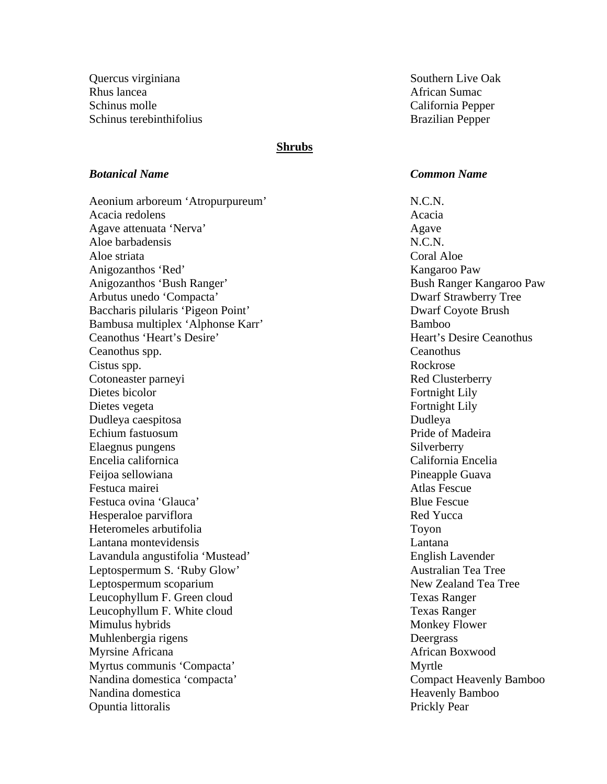Quercus virginiana  $S$ outhern Live Oak Rhus lancea **African Sumac** African Sumac Schinus molle California Pepper Schinus terebinthifolius and a series and the Brazilian Pepper

## **Shrubs**

## *Botanical Name Common Name*

Aeonium arboreum 'Atropurpureum' N.C.N. Acacia redolens and the set of the set of the set of the set of the set of the set of the set of the set of the set of the set of the set of the set of the set of the set of the set of the set of the set of the set of the Agave attenuata 'Nerva' Agave Aloe barbadensis N.C.N. Aloe striata and Coral Aloe Striata and Coral Aloe Striata and Coral Aloe Striata and Coral Aloe Striata and Coral Aloe Striata and Coral Aloe Striata and Coral Aloe Striata and Coral Aloe Striata and Coral Aloe Striata an Anigozanthos 'Red' Kangaroo Paw Anigozanthos 'Bush Ranger' Bush Ranger Kangaroo Paw Arbutus unedo 'Compacta' Dwarf Strawberry Tree Baccharis pilularis 'Pigeon Point' Dwarf Coyote Brush Bambusa multiplex 'Alphonse Karr' Bamboo Ceanothus 'Heart's Desire' New York Ceanothus Heart's Desire Ceanothus Ceanothus spp. Ceanothus Cistus spp. Rockrose Cotoneaster parneyi and the contract of the Red Clusterberry Dietes bicolor **Fortnight Lily** Dietes vegeta Fortnight Lily Dudleya caespitosa Dudleya Echium fastuosum **Pride of Madeira** Pride of Madeira Elaegnus pungens Silverberry Encelia californica California Encelia Feijoa sellowiana **Pineapple Guava** Pineapple Guava Festuca mairei anno 1992 - Contractor anno 1992 - Atlas Fescue Festuca ovina 'Glauca' and the secure of the Blue Fescue Blue Fescue Hesperaloe parviflora and the set of the set of the Red Yucca Red Yucca Heteromeles arbutifolia Toyon Lantana montevidensis Lantana Lavandula angustifolia 'Mustead' English Lavender Leptospermum S. 'Ruby Glow' Australian Tea Tree Leptospermum scoparium  $\blacksquare$ Leucophyllum F. Green cloud Texas Ranger Leucophyllum F. White cloud Texas Ranger Mimulus hybrids **Monkey Flower** Monkey Flower Muhlenbergia rigens Deergrass Myrsine Africana **African** Boxwood **African** Boxwood Myrtus communis 'Compacta' Myrtle Nandina domestica 'compacta' Compacta Compact Heavenly Bamboo Nandina domestica Heavenly Bamboo Opuntia littoralis **Prickly Pear**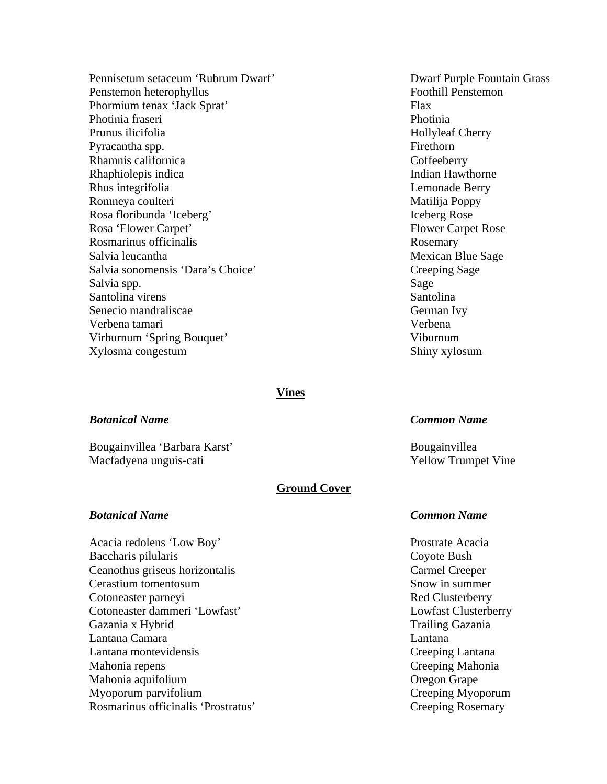Pennisetum setaceum 'Rubrum Dwarf' Dwarf Purple Fountain Grass Penstemon heterophyllus Foothill Penstemon Phormium tenax 'Jack Sprat' Flax Photinia fraseri Photinia Prunus ilicifolia eta aldera eta aldera eta aldera eta aldera eta aldera eta aldera eta aldera eta aldera eta Pyracantha spp. Firethorn Rhamnis californica Coffeeberry Rhaphiolepis indica **Indian Hawthorne** Indian Hawthorne Rhus integrifolia Lemonade Berry Romneya coulteri Matilija Poppy Rosa floribunda 'Iceberg' Iceberg Rose Rosa 'Flower Carpet' Flower Carpet Rose Rosmarinus officinalis **Rosemary** Rosemary Salvia leucantha Mexican Blue Sage Salvia sonomensis 'Dara's Choice' Creeping Sage Salvia spp. Sage Santolina virens Santolina virens Santolina Santolina Santolina Santolina Santolina Santolina Santolina Santolina Senecio mandraliscae German Ivy Verbena tamari Verbena Virburnum 'Spring Bouquet' Viburnum Xylosma congestum Shiny xylosum

### **Vines**

## *Botanical Name Common Name*

Bougainvillea 'Barbara Karst' Bougainvillea Macfadyena unguis-cati Yellow Trumpet Vine

## **Ground Cover**

Acacia redolens 'Low Boy' Prostrate Acacia Baccharis pilularis Coyote Bush Ceanothus griseus horizontalis Carmel Creeper Cerastium tomentosum Snow in summer Cotoneaster parneyi and the contract of the Red Clusterberry Cotoneaster dammeri 'Lowfast' Lowfast Clusterberry Gazania x Hybrid Trailing Gazania Lantana Camara Lantana Lantana montevidensis Creeping Lantana Mahonia repens Creeping Mahonia Mahonia aquifolium Oregon Grape Myoporum parvifolium Creeping Myoporum Rosmarinus officinalis 'Prostratus' Creeping Rosemary

### *Botanical Name Common Name*